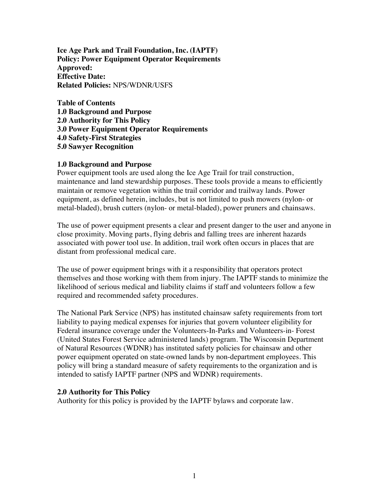**Ice Age Park and Trail Foundation, Inc. (IAPTF) Policy: Power Equipment Operator Requirements Approved: Effective Date: Related Policies:** NPS/WDNR/USFS

**Table of Contents 1.0 Background and Purpose 2.0 Authority for This Policy 3.0 Power Equipment Operator Requirements 4.0 Safety-First Strategies 5.0 Sawyer Recognition**

## **1.0 Background and Purpose**

Power equipment tools are used along the Ice Age Trail for trail construction, maintenance and land stewardship purposes. These tools provide a means to efficiently maintain or remove vegetation within the trail corridor and trailway lands. Power equipment, as defined herein, includes, but is not limited to push mowers (nylon- or metal-bladed), brush cutters (nylon- or metal-bladed), power pruners and chainsaws.

The use of power equipment presents a clear and present danger to the user and anyone in close proximity. Moving parts, flying debris and falling trees are inherent hazards associated with power tool use. In addition, trail work often occurs in places that are distant from professional medical care.

The use of power equipment brings with it a responsibility that operators protect themselves and those working with them from injury. The IAPTF stands to minimize the likelihood of serious medical and liability claims if staff and volunteers follow a few required and recommended safety procedures.

The National Park Service (NPS) has instituted chainsaw safety requirements from tort liability to paying medical expenses for injuries that govern volunteer eligibility for Federal insurance coverage under the Volunteers-In-Parks and Volunteers-in- Forest (United States Forest Service administered lands) program. The Wisconsin Department of Natural Resources (WDNR) has instituted safety policies for chainsaw and other power equipment operated on state-owned lands by non-department employees. This policy will bring a standard measure of safety requirements to the organization and is intended to satisfy IAPTF partner (NPS and WDNR) requirements.

#### **2.0 Authority for This Policy**

Authority for this policy is provided by the IAPTF bylaws and corporate law.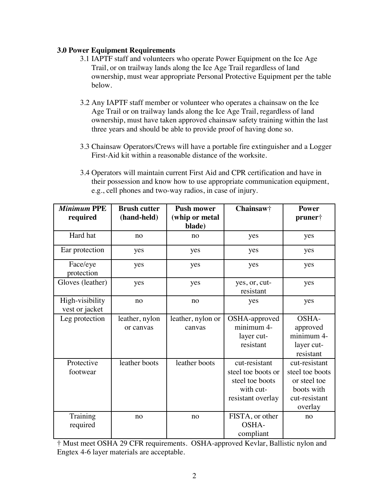# **3.0 Power Equipment Requirements**

- 3.1 IAPTF staff and volunteers who operate Power Equipment on the Ice Age Trail, or on trailway lands along the Ice Age Trail regardless of land ownership, must wear appropriate Personal Protective Equipment per the table below.
- 3.2 Any IAPTF staff member or volunteer who operates a chainsaw on the Ice Age Trail or on trailway lands along the Ice Age Trail, regardless of land ownership, must have taken approved chainsaw safety training within the last three years and should be able to provide proof of having done so.
- 3.3 Chainsaw Operators/Crews will have a portable fire extinguisher and a Logger First-Aid kit within a reasonable distance of the worksite.
- 3.4 Operators will maintain current First Aid and CPR certification and have in their possession and know how to use appropriate communication equipment, e.g., cell phones and two-way radios, in case of injury.

| <b>Minimum PPE</b><br>required    | <b>Brush cutter</b><br>(hand-held) | <b>Push mower</b><br>(whip or metal<br>blade) | Chainsaw†                                                                                | <b>Power</b><br>pruner†                                                                    |
|-----------------------------------|------------------------------------|-----------------------------------------------|------------------------------------------------------------------------------------------|--------------------------------------------------------------------------------------------|
| Hard hat                          | no                                 | no                                            | yes                                                                                      | yes                                                                                        |
| Ear protection                    | yes                                | yes                                           | yes                                                                                      | yes                                                                                        |
| Face/eye<br>protection            | yes                                | yes                                           | yes                                                                                      | yes                                                                                        |
| Gloves (leather)                  | yes                                | yes                                           | yes, or, cut-<br>resistant                                                               | yes                                                                                        |
| High-visibility<br>vest or jacket | no                                 | no                                            | yes                                                                                      | yes                                                                                        |
| Leg protection                    | leather, nylon<br>or canvas        | leather, nylon or<br>canvas                   | OSHA-approved<br>minimum 4-<br>layer cut-<br>resistant                                   | OSHA-<br>approved<br>minimum 4-<br>layer cut-<br>resistant                                 |
| Protective<br>footwear            | leather boots                      | leather boots                                 | cut-resistant<br>steel toe boots or<br>steel toe boots<br>with cut-<br>resistant overlay | cut-resistant<br>steel toe boots<br>or steel toe<br>boots with<br>cut-resistant<br>overlay |
| Training<br>required              | no                                 | no                                            | FISTA, or other<br>OSHA-<br>compliant                                                    | no                                                                                         |

† Must meet OSHA 29 CFR requirements. OSHA-approved Kevlar, Ballistic nylon and Engtex 4-6 layer materials are acceptable.